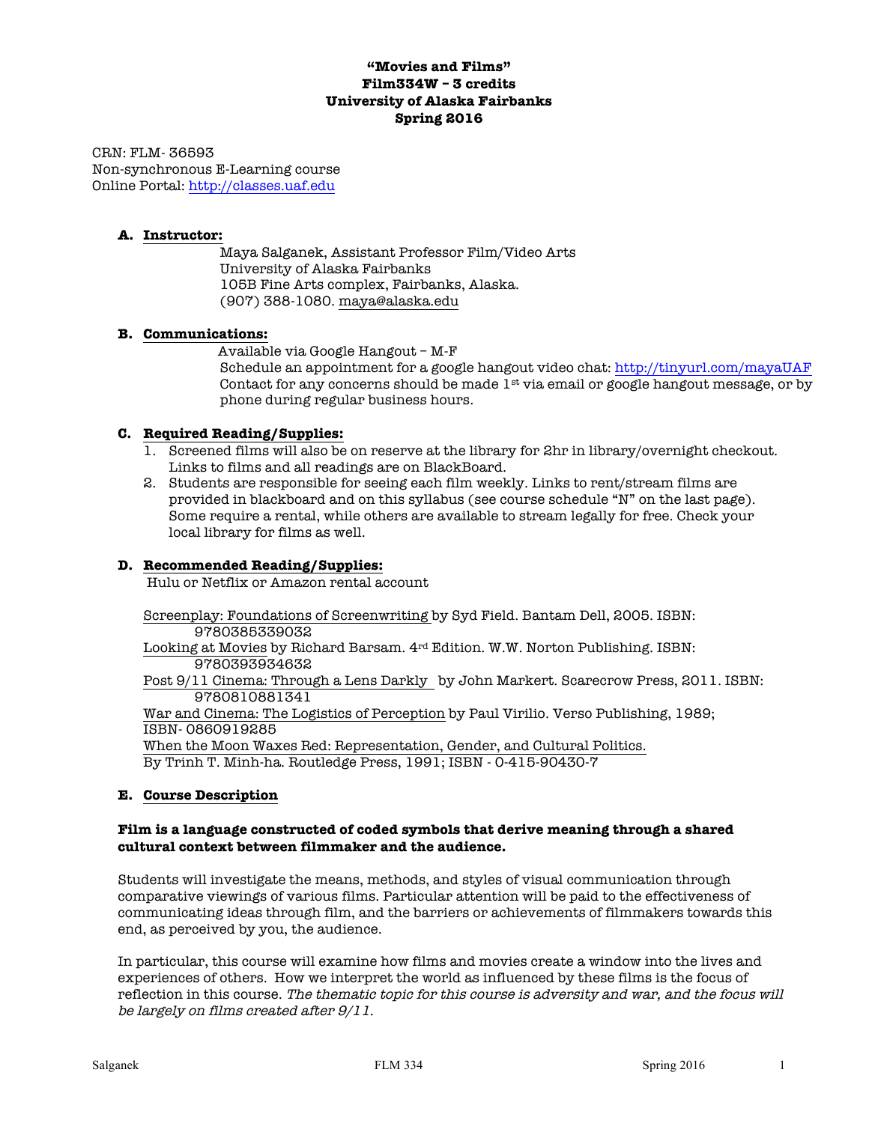# **"Movies and Films" Film334W – 3 credits University of Alaska Fairbanks Spring 2016**

CRN: FLM- 36593 Non-synchronous E-Learning course Online Portal: http://classes.uaf.edu

### **A. Instructor:**

Maya Salganek, Assistant Professor Film/Video Arts University of Alaska Fairbanks 105B Fine Arts complex, Fairbanks, Alaska. (907) 388-1080. maya@alaska.edu

## **B. Communications:**

 Available via Google Hangout – M-F Schedule an appointment for a google hangout video chat: http://tinyurl.com/mayaUAF Contact for any concerns should be made  $1^{st}$  via email or google hangout message, or by phone during regular business hours.

## **C. Required Reading/Supplies:**

- 1. Screened films will also be on reserve at the library for 2hr in library/overnight checkout. Links to films and all readings are on BlackBoard.
- 2. Students are responsible for seeing each film weekly. Links to rent/stream films are provided in blackboard and on this syllabus (see course schedule "N" on the last page). Some require a rental, while others are available to stream legally for free. Check your local library for films as well.

### **D. Recommended Reading/Supplies:**

Hulu or Netflix or Amazon rental account

Screenplay: Foundations of Screenwriting by Syd Field. Bantam Dell, 2005. ISBN: 9780385339032

Looking at Movies by Richard Barsam. 4rd Edition. W.W. Norton Publishing. ISBN: 9780393934632

Post 9/11 Cinema: Through a Lens Darkly by John Markert. Scarecrow Press, 2011. ISBN: 9780810881341

War and Cinema: The Logistics of Perception by Paul Virilio. Verso Publishing, 1989; ISBN- 0860919285

When the Moon Waxes Red: Representation, Gender, and Cultural Politics. By Trinh T. Minh-ha. Routledge Press, 1991; ISBN - 0-415-90430-7

### **E. Course Description**

### **Film is a language constructed of coded symbols that derive meaning through a shared cultural context between filmmaker and the audience.**

Students will investigate the means, methods, and styles of visual communication through comparative viewings of various films. Particular attention will be paid to the effectiveness of communicating ideas through film, and the barriers or achievements of filmmakers towards this end, as perceived by you, the audience.

In particular, this course will examine how films and movies create a window into the lives and experiences of others. How we interpret the world as influenced by these films is the focus of reflection in this course. The thematic topic for this course is adversity and war, and the focus will be largely on films created after 9/11.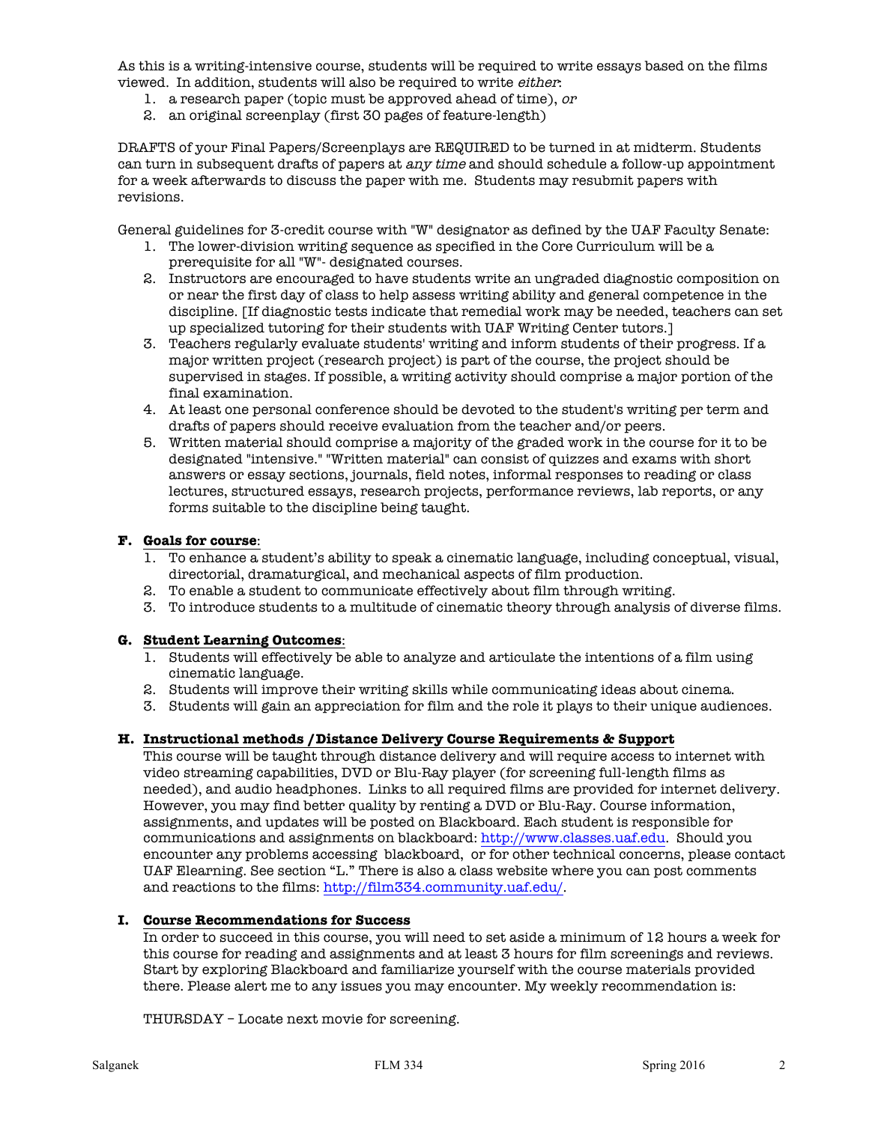As this is a writing-intensive course, students will be required to write essays based on the films viewed. In addition, students will also be required to write *either*:

- 1. a research paper (topic must be approved ahead of time), or
- 2. an original screenplay (first 30 pages of feature-length)

DRAFTS of your Final Papers/Screenplays are REQUIRED to be turned in at midterm. Students can turn in subsequent drafts of papers at any time and should schedule a follow-up appointment for a week afterwards to discuss the paper with me. Students may resubmit papers with revisions.

General guidelines for 3-credit course with "W" designator as defined by the UAF Faculty Senate:

- 1. The lower-division writing sequence as specified in the Core Curriculum will be a prerequisite for all "W"- designated courses.
- 2. Instructors are encouraged to have students write an ungraded diagnostic composition on or near the first day of class to help assess writing ability and general competence in the discipline. [If diagnostic tests indicate that remedial work may be needed, teachers can set up specialized tutoring for their students with UAF Writing Center tutors.]
- 3. Teachers regularly evaluate students' writing and inform students of their progress. If a major written project (research project) is part of the course, the project should be supervised in stages. If possible, a writing activity should comprise a major portion of the final examination.
- 4. At least one personal conference should be devoted to the student's writing per term and drafts of papers should receive evaluation from the teacher and/or peers.
- 5. Written material should comprise a majority of the graded work in the course for it to be designated "intensive." "Written material" can consist of quizzes and exams with short answers or essay sections, journals, field notes, informal responses to reading or class lectures, structured essays, research projects, performance reviews, lab reports, or any forms suitable to the discipline being taught.

### **F. Goals for course**:

- 1. To enhance a student's ability to speak a cinematic language, including conceptual, visual, directorial, dramaturgical, and mechanical aspects of film production.
- 2. To enable a student to communicate effectively about film through writing.
- 3. To introduce students to a multitude of cinematic theory through analysis of diverse films.

# **G. Student Learning Outcomes**:

- 1. Students will effectively be able to analyze and articulate the intentions of a film using cinematic language.
- 2. Students will improve their writing skills while communicating ideas about cinema.
- 3. Students will gain an appreciation for film and the role it plays to their unique audiences.

### **H. Instructional methods /Distance Delivery Course Requirements & Support**

This course will be taught through distance delivery and will require access to internet with video streaming capabilities, DVD or Blu-Ray player (for screening full-length films as needed), and audio headphones. Links to all required films are provided for internet delivery. However, you may find better quality by renting a DVD or Blu-Ray. Course information, assignments, and updates will be posted on Blackboard. Each student is responsible for communications and assignments on blackboard: http://www.classes.uaf.edu. Should you encounter any problems accessing blackboard, or for other technical concerns, please contact UAF Elearning. See section "L." There is also a class website where you can post comments and reactions to the films: http://film334.community.uaf.edu/.

### **I. Course Recommendations for Success**

In order to succeed in this course, you will need to set aside a minimum of 12 hours a week for this course for reading and assignments and at least 3 hours for film screenings and reviews. Start by exploring Blackboard and familiarize yourself with the course materials provided there. Please alert me to any issues you may encounter. My weekly recommendation is:

THURSDAY – Locate next movie for screening.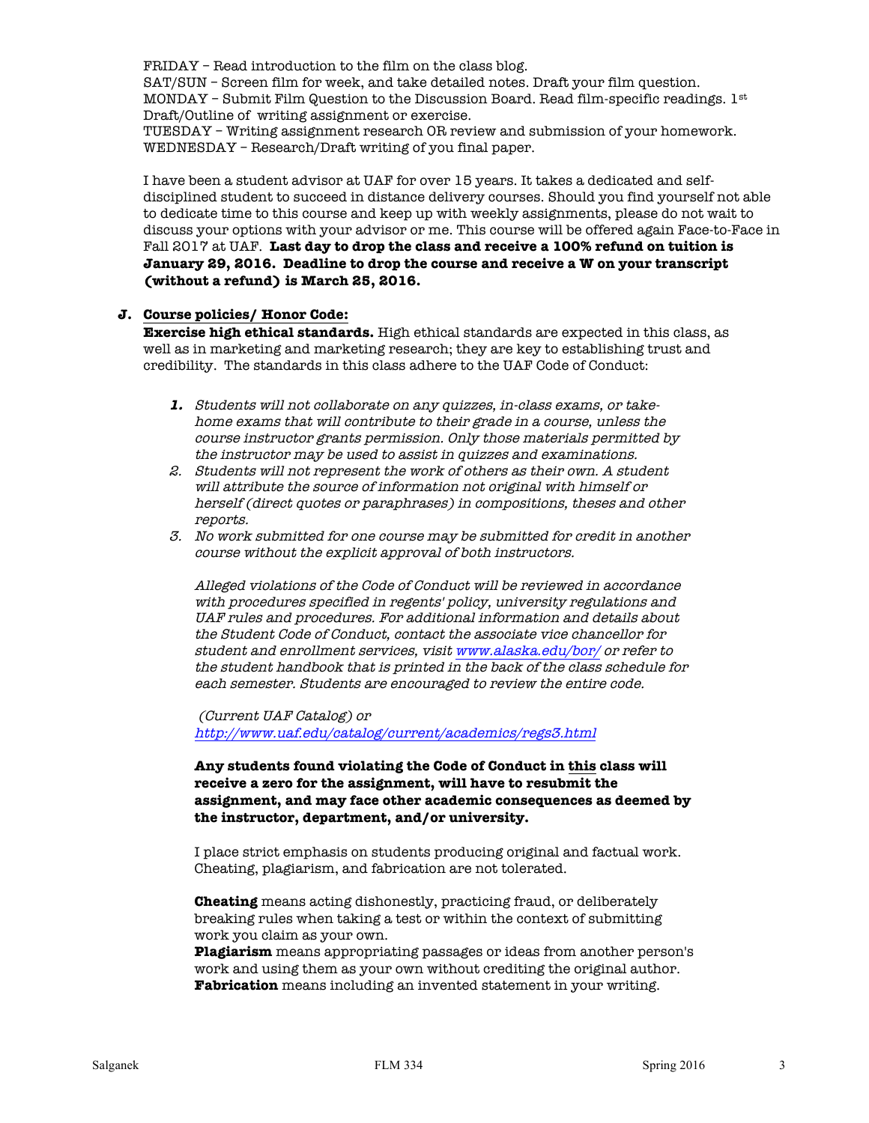FRIDAY – Read introduction to the film on the class blog.

SAT/SUN – Screen film for week, and take detailed notes. Draft your film question. MONDAY – Submit Film Question to the Discussion Board. Read film-specific readings.  $1<sup>st</sup>$ Draft/Outline of writing assignment or exercise.

TUESDAY – Writing assignment research OR review and submission of your homework. WEDNESDAY – Research/Draft writing of you final paper.

I have been a student advisor at UAF for over 15 years. It takes a dedicated and selfdisciplined student to succeed in distance delivery courses. Should you find yourself not able to dedicate time to this course and keep up with weekly assignments, please do not wait to discuss your options with your advisor or me. This course will be offered again Face-to-Face in Fall 2017 at UAF. **Last day to drop the class and receive a 100% refund on tuition is January 29, 2016. Deadline to drop the course and receive a W on your transcript (without a refund) is March 25, 2016.** 

### **J. Course policies/ Honor Code:**

**Exercise high ethical standards.** High ethical standards are expected in this class, as well as in marketing and marketing research; they are key to establishing trust and credibility. The standards in this class adhere to the UAF Code of Conduct:

- **1.** Students will not collaborate on any quizzes, in-class exams, or takehome exams that will contribute to their grade in a course, unless the course instructor grants permission. Only those materials permitted by the instructor may be used to assist in quizzes and examinations.
- 2. Students will not represent the work of others as their own. A student will attribute the source of information not original with himself or herself (direct quotes or paraphrases) in compositions, theses and other reports.
- 3. No work submitted for one course may be submitted for credit in another course without the explicit approval of both instructors.

Alleged violations of the Code of Conduct will be reviewed in accordance with procedures specified in regents' policy, university regulations and UAF rules and procedures. For additional information and details about the Student Code of Conduct, contact the associate vice chancellor for student and enrollment services, visit www.alaska.edu/bor/ or refer to the student handbook that is printed in the back of the class schedule for each semester. Students are encouraged to review the entire code.

(Current UAF Catalog) or http://www.uaf.edu/catalog/current/academics/regs3.html

**Any students found violating the Code of Conduct in this class will receive a zero for the assignment, will have to resubmit the assignment, and may face other academic consequences as deemed by the instructor, department, and/or university.** 

I place strict emphasis on students producing original and factual work. Cheating, plagiarism, and fabrication are not tolerated.

**Cheating** means acting dishonestly, practicing fraud, or deliberately breaking rules when taking a test or within the context of submitting work you claim as your own.

**Plagiarism** means appropriating passages or ideas from another person's work and using them as your own without crediting the original author. **Fabrication** means including an invented statement in your writing.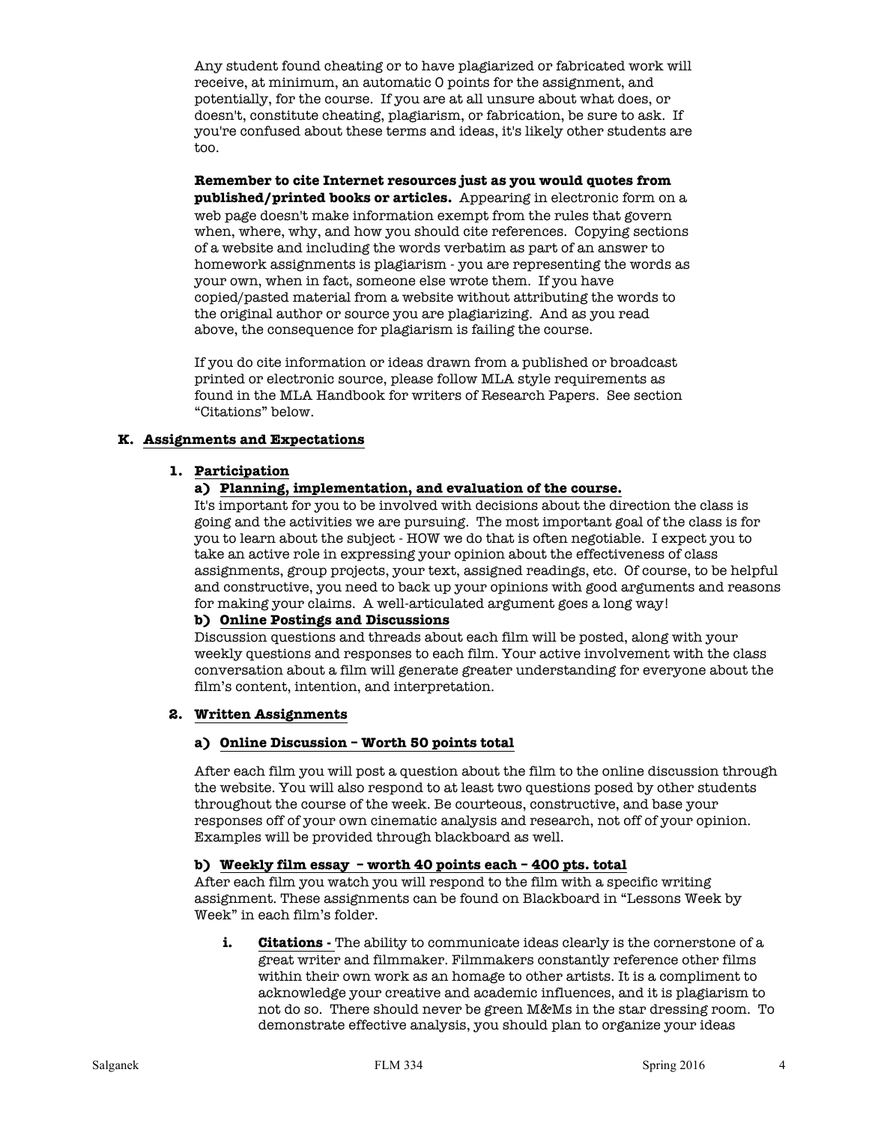Any student found cheating or to have plagiarized or fabricated work will receive, at minimum, an automatic 0 points for the assignment, and potentially, for the course. If you are at all unsure about what does, or doesn't, constitute cheating, plagiarism, or fabrication, be sure to ask. If you're confused about these terms and ideas, it's likely other students are too.

**Remember to cite Internet resources just as you would quotes from published/printed books or articles.** Appearing in electronic form on a web page doesn't make information exempt from the rules that govern when, where, why, and how you should cite references. Copying sections of a website and including the words verbatim as part of an answer to homework assignments is plagiarism - you are representing the words as your own, when in fact, someone else wrote them. If you have copied/pasted material from a website without attributing the words to the original author or source you are plagiarizing. And as you read above, the consequence for plagiarism is failing the course.

If you do cite information or ideas drawn from a published or broadcast printed or electronic source, please follow MLA style requirements as found in the MLA Handbook for writers of Research Papers. See section "Citations" below.

### **K. Assignments and Expectations**

### **1. Participation**

## **a) Planning, implementation, and evaluation of the course.**

It's important for you to be involved with decisions about the direction the class is going and the activities we are pursuing. The most important goal of the class is for you to learn about the subject - HOW we do that is often negotiable. I expect you to take an active role in expressing your opinion about the effectiveness of class assignments, group projects, your text, assigned readings, etc. Of course, to be helpful and constructive, you need to back up your opinions with good arguments and reasons for making your claims. A well-articulated argument goes a long way!

### **b) Online Postings and Discussions**

Discussion questions and threads about each film will be posted, along with your weekly questions and responses to each film. Your active involvement with the class conversation about a film will generate greater understanding for everyone about the film's content, intention, and interpretation.

# **2. Written Assignments**

### **a) Online Discussion – Worth 50 points total**

After each film you will post a question about the film to the online discussion through the website. You will also respond to at least two questions posed by other students throughout the course of the week. Be courteous, constructive, and base your responses off of your own cinematic analysis and research, not off of your opinion. Examples will be provided through blackboard as well.

# **b) Weekly film essay – worth 40 points each – 400 pts. total**

After each film you watch you will respond to the film with a specific writing assignment. These assignments can be found on Blackboard in "Lessons Week by Week" in each film's folder.

**i. Citations** - The ability to communicate ideas clearly is the cornerstone of a great writer and filmmaker. Filmmakers constantly reference other films within their own work as an homage to other artists. It is a compliment to acknowledge your creative and academic influences, and it is plagiarism to not do so. There should never be green M&Ms in the star dressing room. To demonstrate effective analysis, you should plan to organize your ideas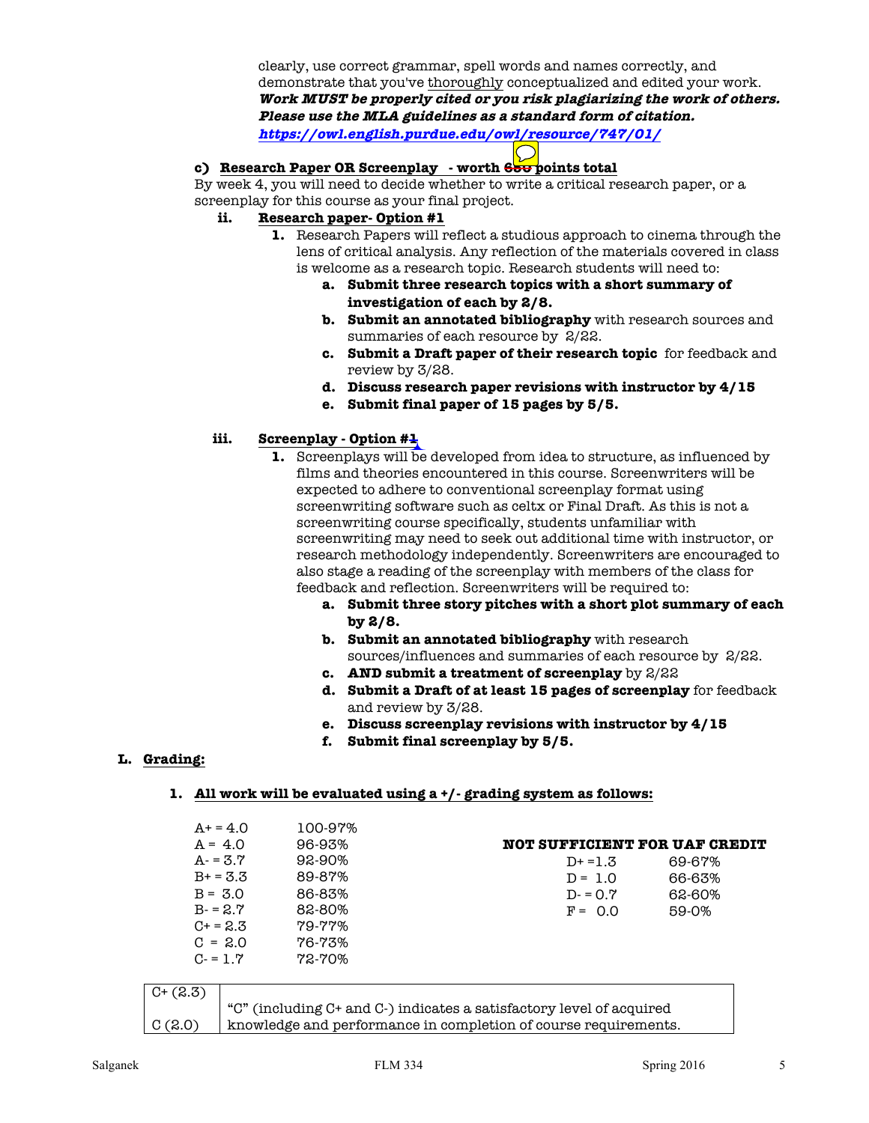clearly, use correct grammar, spell words and names correctly, and demonstrate that you've thoroughly conceptualized and edited your work. **Work MUST be properly cited or you risk plagiarizing the work of others. Please use the MLA guidelines as a standard form of citation. https://owl.english.purdue.edu/owl/resource/747/01/**

## **c) Research Paper OR Screenplay - worth 650 points total**

By week 4, you will need to decide whether to write a critical research paper, or a screenplay for this course as your final project.

### **ii. Research paper- Option #1**

- **1.** Research Papers will reflect a studious approach to cinema through the lens of critical analysis. Any reflection of the materials covered in class is welcome as a research topic. Research students will need to:
	- **a. Submit three research topics with a short summary of investigation of each by 2/8.**
	- **b. Submit an annotated bibliography** with research sources and summaries of each resource by 2/22.
	- **c. Submit a Draft paper of their research topic** for feedback and review by 3/28.
	- **d. Discuss research paper revisions with instructor by 4/15**
	- **e. Submit final paper of 15 pages by 5/5.**

# **iii. Screenplay - Option #1**

- **1.** Screenplays will be developed from idea to structure, as influenced by films and theories encountered in this course. Screenwriters will be expected to adhere to conventional screenplay format using screenwriting software such as celtx or Final Draft. As this is not a screenwriting course specifically, students unfamiliar with screenwriting may need to seek out additional time with instructor, or research methodology independently. Screenwriters are encouraged to also stage a reading of the screenplay with members of the class for feedback and reflection. Screenwriters will be required to:
	- **a. Submit three story pitches with a short plot summary of each by 2/8.**
	- **b. Submit an annotated bibliography** with research sources/influences and summaries of each resource by 2/22.
	- **c. AND submit a treatment of screenplay** by 2/22
	- **d. Submit a Draft of at least 15 pages of screenplay** for feedback and review by 3/28.
	- **e. Discuss screenplay revisions with instructor by 4/15**
	- **f. Submit final screenplay by 5/5.**

# **L. Grading:**

### **1. All work will be evaluated using a +/- grading system as follows:**

|              | $A+ = 4.0$    | 100-97%                                                              |                                      |        |
|--------------|---------------|----------------------------------------------------------------------|--------------------------------------|--------|
|              | $A = 4.0$     | 96-93%                                                               | <b>NOT SUFFICIENT FOR UAF CREDIT</b> |        |
|              | $A - 3.7$     | 92-90%                                                               | $D+ = 1.3$                           | 69-67% |
|              | $B+ = 3.3$    | 89-87%                                                               | $D = 1.0$                            | 66-63% |
|              | $B = 3.0$     | 86-83%                                                               | $D = 0.7$                            | 62-60% |
|              | $B - 2.7$     | 82-80%                                                               | $F = 0.0$                            | 59-0%  |
|              | $C_{1} = 2.3$ | 79-77%                                                               |                                      |        |
|              | $C = 2.0$     | 76-73%                                                               |                                      |        |
|              | $C = 1.7$     | $72 - 70\%$                                                          |                                      |        |
|              |               |                                                                      |                                      |        |
| $C^{+}(2.3)$ |               |                                                                      |                                      |        |
|              |               | "C" (including C+ and C-) indicates a satisfactory level of acquired |                                      |        |
| C(2.0)       |               | knowledge and performance in completion of course requirements.      |                                      |        |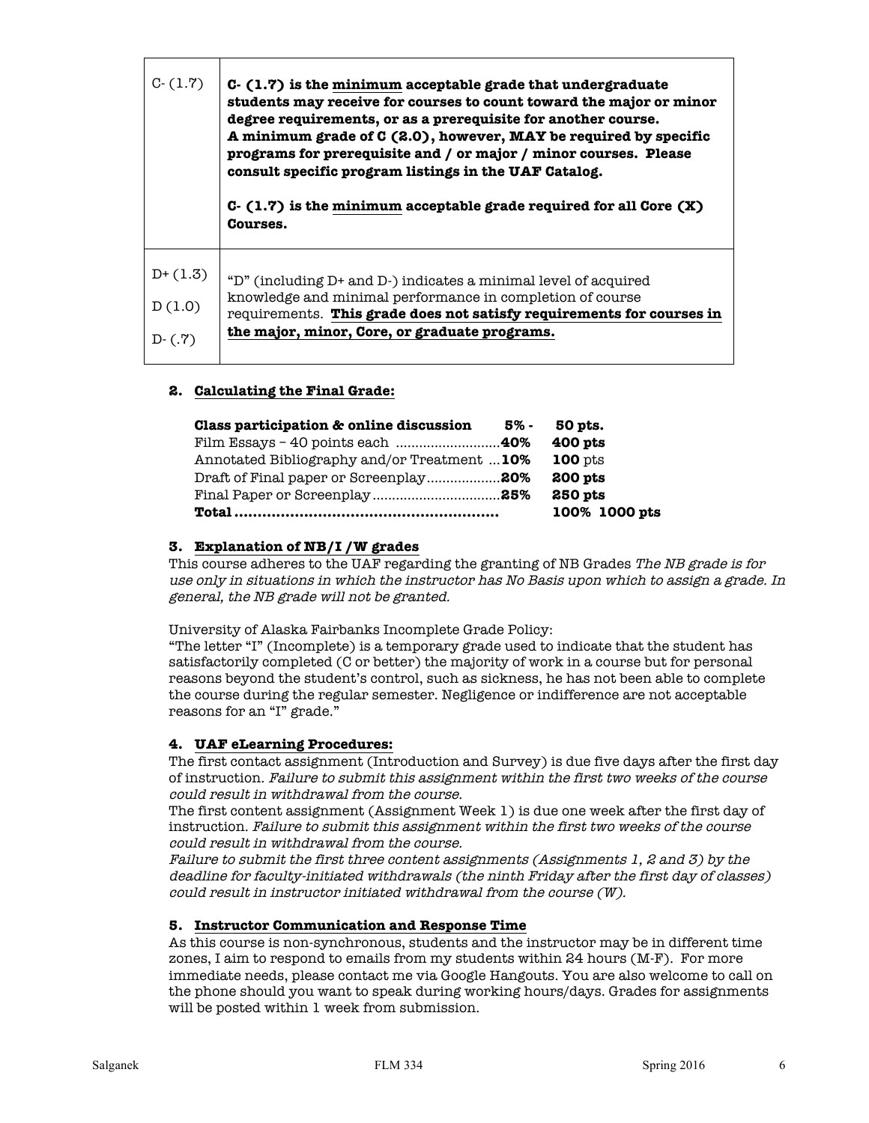| students may receive for courses to count toward the major or minor<br>A minimum grade of C (2.0), however, MAY be required by specific<br>$C-$ (1.7) is the minimum acceptable grade required for all Core $(X)$ |
|-------------------------------------------------------------------------------------------------------------------------------------------------------------------------------------------------------------------|
|                                                                                                                                                                                                                   |
| requirements. This grade does not satisfy requirements for courses in                                                                                                                                             |
|                                                                                                                                                                                                                   |
|                                                                                                                                                                                                                   |

## **2. Calculating the Final Grade:**

| Class participation & online discussion      | 5% - | 50 pts.        |
|----------------------------------------------|------|----------------|
|                                              |      | $400$ pts      |
| Annotated Bibliography and/or Treatment  10% |      | <b>100</b> pts |
| Draft of Final paper or Screenplay20%        |      | 200 pts        |
|                                              |      | 250 pts        |
|                                              |      | 100% 1000 pts  |

## **3. Explanation of NB/I /W grades**

This course adheres to the UAF regarding the granting of NB Grades The NB grade is for use only in situations in which the instructor has No Basis upon which to assign a grade. In general, the NB grade will not be granted.

University of Alaska Fairbanks Incomplete Grade Policy:

"The letter "I" (Incomplete) is a temporary grade used to indicate that the student has satisfactorily completed (C or better) the majority of work in a course but for personal reasons beyond the student's control, such as sickness, he has not been able to complete the course during the regular semester. Negligence or indifference are not acceptable reasons for an "I" grade."

### **4. UAF eLearning Procedures:**

The first contact assignment (Introduction and Survey) is due five days after the first day of instruction. Failure to submit this assignment within the first two weeks of the course could result in withdrawal from the course.

The first content assignment (Assignment Week 1) is due one week after the first day of instruction. Failure to submit this assignment within the first two weeks of the course could result in withdrawal from the course.

Failure to submit the first three content assignments (Assignments 1, 2 and 3) by the deadline for faculty-initiated withdrawals (the ninth Friday after the first day of classes) could result in instructor initiated withdrawal from the course (W).

### **5. Instructor Communication and Response Time**

As this course is non-synchronous, students and the instructor may be in different time zones, I aim to respond to emails from my students within 24 hours (M-F). For more immediate needs, please contact me via Google Hangouts. You are also welcome to call on the phone should you want to speak during working hours/days. Grades for assignments will be posted within 1 week from submission.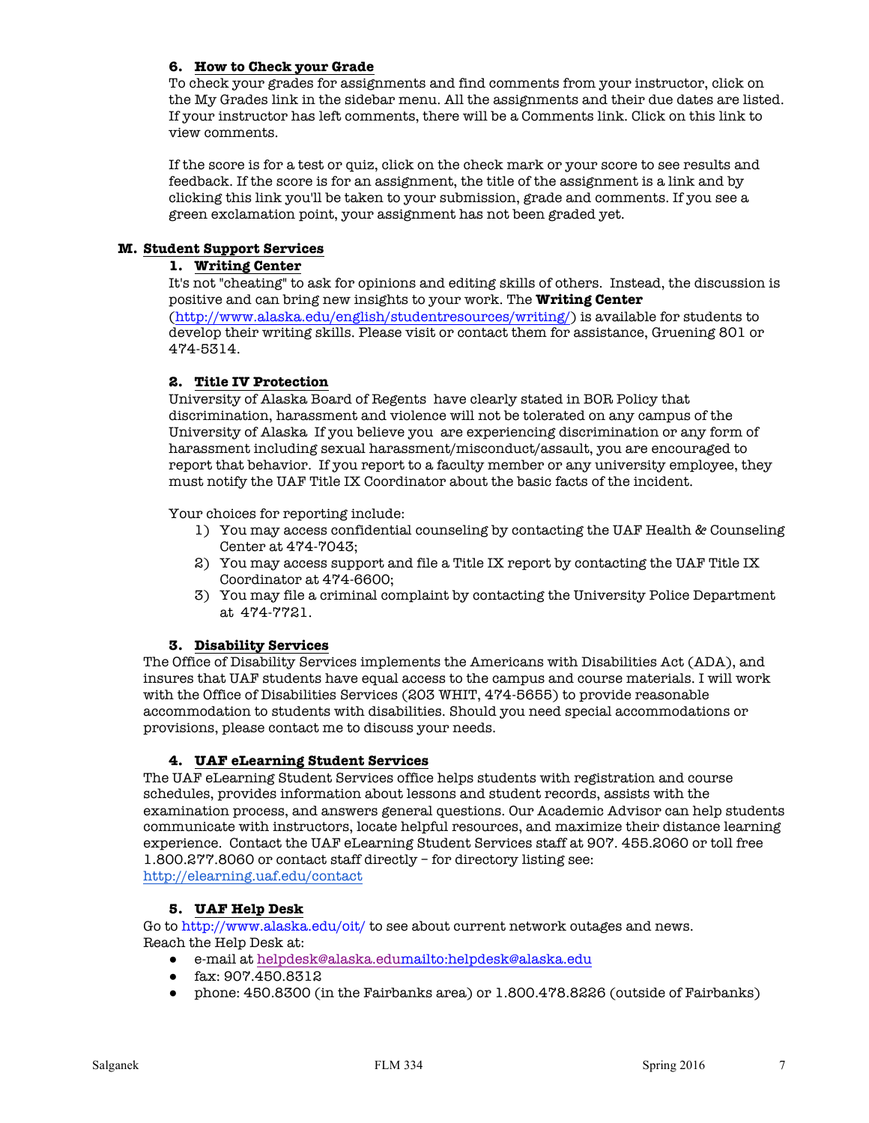## **6. How to Check your Grade**

To check your grades for assignments and find comments from your instructor, click on the My Grades link in the sidebar menu. All the assignments and their due dates are listed. If your instructor has left comments, there will be a Comments link. Click on this link to view comments.

If the score is for a test or quiz, click on the check mark or your score to see results and feedback. If the score is for an assignment, the title of the assignment is a link and by clicking this link you'll be taken to your submission, grade and comments. If you see a green exclamation point, your assignment has not been graded yet.

## **M. Student Support Services**

## **1. Writing Center**

It's not "cheating" to ask for opinions and editing skills of others. Instead, the discussion is positive and can bring new insights to your work. The **Writing Center** (http://www.alaska.edu/english/studentresources/writing/) is available for students to develop their writing skills. Please visit or contact them for assistance, Gruening 801 or 474-5314.

# **2. Title IV Protection**

University of Alaska Board of Regents have clearly stated in BOR Policy that discrimination, harassment and violence will not be tolerated on any campus of the University of Alaska If you believe you are experiencing discrimination or any form of harassment including sexual harassment/misconduct/assault, you are encouraged to report that behavior. If you report to a faculty member or any university employee, they must notify the UAF Title IX Coordinator about the basic facts of the incident.

Your choices for reporting include:

- 1) You may access confidential counseling by contacting the UAF Health & Counseling Center at 474-7043;
- 2) You may access support and file a Title IX report by contacting the UAF Title IX Coordinator at 474-6600;
- 3) You may file a criminal complaint by contacting the University Police Department at 474-7721.

### **3. Disability Services**

The Office of Disability Services implements the Americans with Disabilities Act (ADA), and insures that UAF students have equal access to the campus and course materials. I will work with the Office of Disabilities Services (203 WHIT, 474-5655) to provide reasonable accommodation to students with disabilities. Should you need special accommodations or provisions, please contact me to discuss your needs.

# **4. UAF eLearning Student Services**

The UAF eLearning Student Services office helps students with registration and course schedules, provides information about lessons and student records, assists with the examination process, and answers general questions. Our Academic Advisor can help students communicate with instructors, locate helpful resources, and maximize their distance learning experience. Contact the UAF eLearning Student Services staff at 907. 455.2060 or toll free 1.800.277.8060 or contact staff directly – for directory listing see: http://elearning.uaf.edu/contact

### **5. UAF Help Desk**

Go to http://www.alaska.edu/oit/ to see about current network outages and news. Reach the Help Desk at:

- e-mail at helpdesk@alaska.edumailto:helpdesk@alaska.edu
- fax: 907.450.8312
- phone: 450.8300 (in the Fairbanks area) or 1.800.478.8226 (outside of Fairbanks)